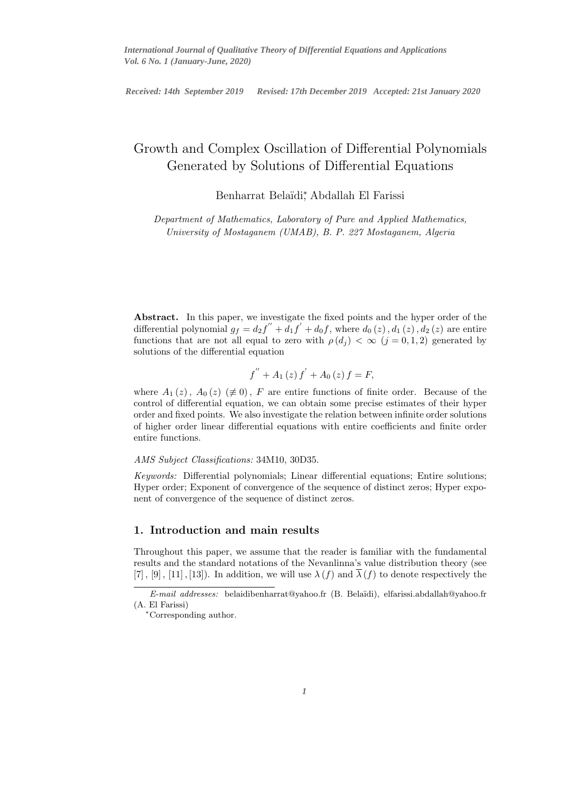International Journal of Qualitative Theory of Differential Equations and Applications *Received: 14th September 2019 Revised: 17th December 2019 Accepted: 21st January 2020*

# Growth and Complex Oscillation of Differential Polynomials Generated by Solutions of Differential Equations

Benharrat Belaïdi<sup>\*</sup>, Abdallah El Farissi

Department of Mathematics, Laboratory of Pure and Applied Mathematics, University of Mostaganem (UMAB), B. P. 227 Mostaganem, Algeria

Abstract. In this paper, we investigate the fixed points and the hyper order of the differential polynomial  $g_f = d_2 f'' + d_1 f' + d_0 f$ , where  $d_0(z)$ ,  $d_1(z)$ ,  $d_2(z)$  are entire functions that are not all equal to zero with  $\rho(d_i) < \infty$   $(j = 0, 1, 2)$  generated by solutions of the differential equation

$$
f'' + A_1(z) f' + A_0(z) f = F,
$$

where  $A_1(z)$ ,  $A_0(z)$  ( $\neq 0$ ), F are entire functions of finite order. Because of the control of differential equation, we can obtain some precise estimates of their hyper order and fixed points. We also investigate the relation between infinite order solutions of higher order linear differential equations with entire coefficients and finite order entire functions.

#### AMS Subject Classifications: 34M10, 30D35.

Keywords: Differential polynomials; Linear differential equations; Entire solutions; Hyper order; Exponent of convergence of the sequence of distinct zeros; Hyper exponent of convergence of the sequence of distinct zeros.

## 1. Introduction and main results

Throughout this paper, we assume that the reader is familiar with the fundamental results and the standard notations of the Nevanlinna's value distribution theory (see [7], [9], [11], [13]). In addition, we will use  $\lambda(f)$  and  $\overline{\lambda}(f)$  to denote respectively the

E-mail addresses: belaidibenharrat@yahoo.fr (B. Bela¨ıdi), elfarissi.abdallah@yahoo.fr (A. El Farissi)

<sup>∗</sup>Corresponding author.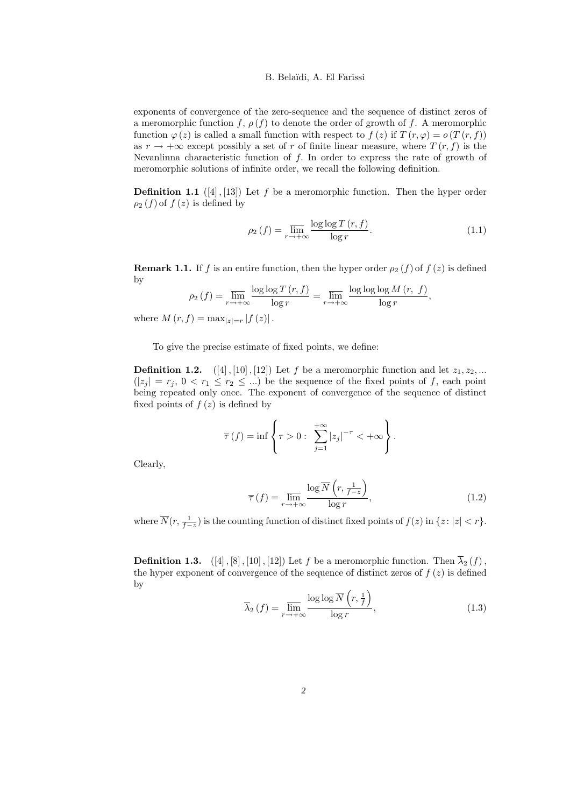exponents of convergence of the zero-sequence and the sequence of distinct zeros of a meromorphic function f,  $\rho(f)$  to denote the order of growth of f. A meromorphic function  $\varphi(z)$  is called a small function with respect to  $f(z)$  if  $T(r, \varphi) = o(T(r, f))$ as  $r \to +\infty$  except possibly a set of r of finite linear measure, where  $T(r, f)$  is the Nevanlinna characteristic function of  $f$ . In order to express the rate of growth of meromorphic solutions of infinite order, we recall the following definition.

**Definition 1.1** ([4], [13]) Let f be a meromorphic function. Then the hyper order  $\rho_2(f)$  of  $f(z)$  is defined by

$$
\rho_2(f) = \overline{\lim_{r \to +\infty}} \frac{\log \log T(r, f)}{\log r}.
$$
\n(1.1)

**Remark 1.1.** If f is an entire function, then the hyper order  $\rho_2(f)$  of  $f(z)$  is defined by

$$
\rho_2(f) = \overline{\lim}_{r \to +\infty} \frac{\log \log T(r, f)}{\log r} = \overline{\lim}_{r \to +\infty} \frac{\log \log \log M(r, f)}{\log r},
$$

where  $M(r, f) = \max_{|z|=r} |f(z)|$ .

To give the precise estimate of fixed points, we define:

**Definition 1.2.**  $([4], [10], [12])$  Let f be a meromorphic function and let  $z_1, z_2, ...$  $(|z_j| = r_j, 0 < r_1 \le r_2 \le ...)$  be the sequence of the fixed points of f, each point being repeated only once. The exponent of convergence of the sequence of distinct fixed points of  $f(z)$  is defined by

$$
\overline{\tau}(f) = \inf \left\{ \tau > 0 : \sum_{j=1}^{+\infty} |z_j|^{-\tau} < +\infty \right\}.
$$

Clearly,

$$
\overline{\tau}(f) = \overline{\lim_{r \to +\infty}} \frac{\log \overline{N}\left(r, \frac{1}{f-z}\right)}{\log r},\tag{1.2}
$$

where  $\overline{N}(r, \frac{1}{f-z})$  is the counting function of distinct fixed points of  $f(z)$  in  $\{z : |z| < r\}$ .

**Definition 1.3.** ([4], [8], [10], [12]) Let f be a meromorphic function. Then  $\overline{\lambda}_2(f)$ , the hyper exponent of convergence of the sequence of distinct zeros of  $f(z)$  is defined by

$$
\overline{\lambda}_{2}(f) = \lim_{r \to +\infty} \frac{\log \log \overline{N}\left(r, \frac{1}{f}\right)}{\log r},\tag{1.3}
$$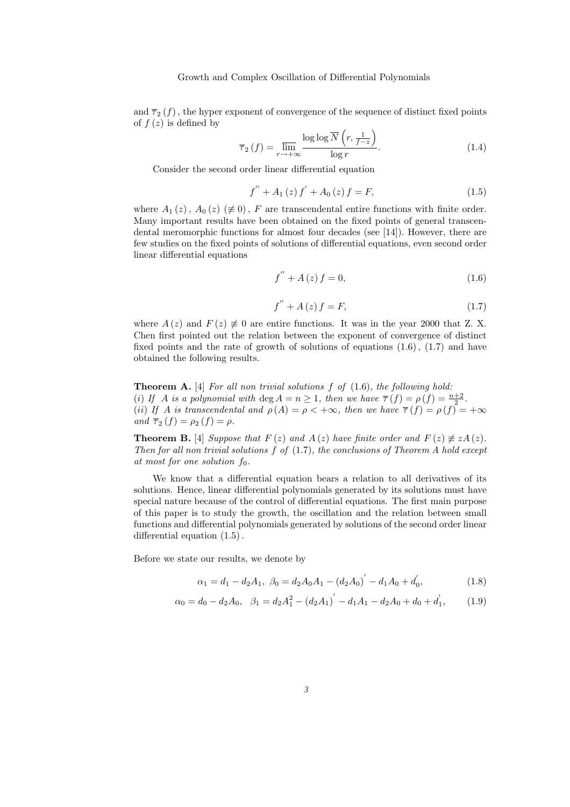and  $\overline{\tau}_2(f)$ , the hyper exponent of convergence of the sequence of distinct fixed points of  $f(z)$  is defined by

$$
\overline{\tau}_{2}(f) = \lim_{r \to +\infty} \frac{\log \log \overline{N}\left(r, \frac{1}{f-z}\right)}{\log r}.
$$
\n(1.4)

Consider the second order linear differential equation

$$
f'' + A_1(z) f' + A_0(z) f = F,
$$
\n(1.5)

where  $A_1(z)$ ,  $A_0(z)$  ( $\neq 0$ ), F are transcendental entire functions with finite order. Many important results have been obtained on the fixed points of general transcendental meromorphic functions for almost four decades (see [14]). However, there are few studies on the fixed points of solutions of differential equations, even second order linear differential equations

$$
f'' + A(z) f = 0,
$$
\n(1.6)

$$
f'' + A(z) f = F,
$$
\n(1.7)

where  $A(z)$  and  $F(z) \neq 0$  are entire functions. It was in the year 2000 that Z. X. Chen first pointed out the relation between the exponent of convergence of distinct fixed points and the rate of growth of solutions of equations  $(1.6)$ ,  $(1.7)$  and have obtained the following results.

**Theorem A.** [4] For all non trivial solutions  $f$  of  $(1.6)$ , the following hold: (i) If A is a polynomial with deg  $A = n \geq 1$ , then we have  $\overline{\tau}(f) = \rho(f) = \frac{n+2}{2}$ . (ii) If A is transcendental and  $\rho(A) = \rho \langle +\infty, \text{ then we have } \overline{\tau}(f) = \rho(f) = +\infty$ and  $\overline{\tau}_2(f) = \rho_2(f) = \rho$ .

**Theorem B.** [4] Suppose that  $F(z)$  and  $A(z)$  have finite order and  $F(z) \neq zA(z)$ . Then for all non trivial solutions  $f$  of  $(1.7)$ , the conclusions of Theorem A hold except at most for one solution  $f_0$ .

We know that a differential equation bears a relation to all derivatives of its solutions. Hence, linear differential polynomials generated by its solutions must have special nature because of the control of differential equations. The first main purpose of this paper is to study the growth, the oscillation and the relation between small functions and differential polynomials generated by solutions of the second order linear differential equation (1.5).

Before we state our results, we denote by

$$
\alpha_1 = d_1 - d_2 A_1, \ \beta_0 = d_2 A_0 A_1 - (d_2 A_0)' - d_1 A_0 + d'_0, \tag{1.8}
$$

$$
\alpha_0 = d_0 - d_2 A_0, \quad \beta_1 = d_2 A_1^2 - (d_2 A_1)' - d_1 A_1 - d_2 A_0 + d_0 + d_1', \tag{1.9}
$$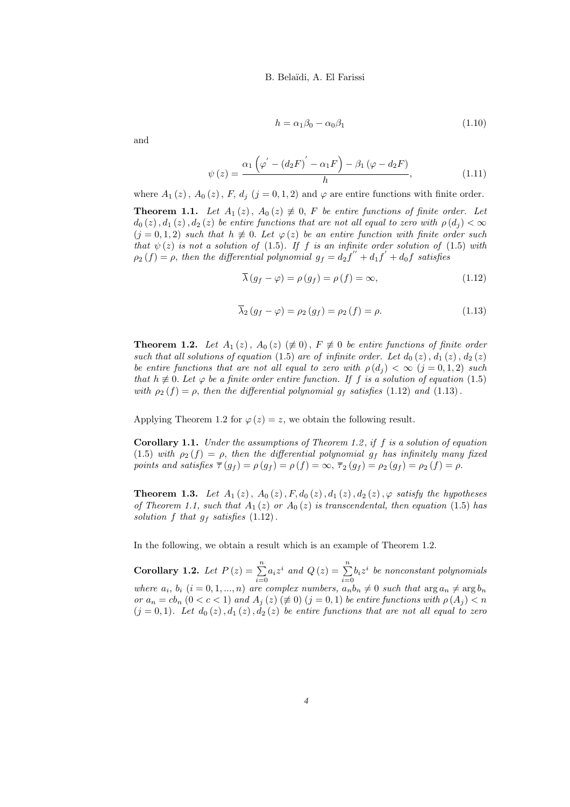$$
h = \alpha_1 \beta_0 - \alpha_0 \beta_1 \tag{1.10}
$$

and

$$
\psi(z) = \frac{\alpha_1 \left(\varphi' - \left(d_2 F\right)' - \alpha_1 F\right) - \beta_1 \left(\varphi - d_2 F\right)}{h},\tag{1.11}
$$

where  $A_1(z)$ ,  $A_0(z)$ ,  $F$ ,  $d_i$   $(j = 0, 1, 2)$  and  $\varphi$  are entire functions with finite order.

**Theorem 1.1.** Let  $A_1(z)$ ,  $A_0(z) \neq 0$ , F be entire functions of finite order. Let  $d_0(z)$ ,  $d_1(z)$ ,  $d_2(z)$  be entire functions that are not all equal to zero with  $\rho(d_i) < \infty$  $(j = 0, 1, 2)$  such that  $h \neq 0$ . Let  $\varphi(z)$  be an entire function with finite order such that  $\psi(z)$  is not a solution of (1.5). If f is an infinite order solution of (1.5) with  $\rho_2(f) = \rho$ , then the differential polynomial  $g_f = d_2 f'' + d_1 f' + d_0 f$  satisfies

$$
\overline{\lambda}(g_f - \varphi) = \rho(g_f) = \rho(f) = \infty, \tag{1.12}
$$

$$
\overline{\lambda}_{2}(g_{f}-\varphi)=\rho_{2}(g_{f})=\rho_{2}(f)=\rho.
$$
\n(1.13)

**Theorem 1.2.** Let  $A_1(z)$ ,  $A_0(z)$  ( $\neq 0$ ),  $F \neq 0$  be entire functions of finite order such that all solutions of equation (1.5) are of infinite order. Let  $d_0(z)$ ,  $d_1(z)$ ,  $d_2(z)$ be entire functions that are not all equal to zero with  $\rho(d_i) < \infty$   $(j = 0, 1, 2)$  such that  $h \not\equiv 0$ . Let  $\varphi$  be a finite order entire function. If f is a solution of equation (1.5) with  $\rho_2(f) = \rho$ , then the differential polynomial  $g_f$  satisfies (1.12) and (1.13).

Applying Theorem 1.2 for  $\varphi(z) = z$ , we obtain the following result.

**Corollary 1.1.** Under the assumptions of Theorem 1.2, if  $f$  is a solution of equation (1.5) with  $\rho_2(f) = \rho$ , then the differential polynomial  $g_f$  has infinitely many fixed points and satisfies  $\overline{\tau}(g_f) = \rho(g_f) = \rho(f) = \infty$ ,  $\overline{\tau}_2(g_f) = \rho_2(g_f) = \rho_2(f) = \rho$ .

**Theorem 1.3.** Let  $A_1(z)$ ,  $A_0(z)$ ,  $F, d_0(z)$ ,  $d_1(z)$ ,  $d_2(z)$ ,  $\varphi$  satisfy the hypotheses of Theorem 1.1, such that  $A_1(z)$  or  $A_0(z)$  is transcendental, then equation (1.5) has solution f that  $g_f$  satisfies  $(1.12)$ .

In the following, we obtain a result which is an example of Theorem 1.2.

Corollary 1.2. Let  $P(z) = \sum_{n=1}^{\infty}$  $\sum_{i=0}^{n} a_i z^i$  and  $Q(z) = \sum_{i=0}^{n}$  $\sum_{i=0} b_i z^i$  be nonconstant polynomials where  $a_i, b_i$   $(i = 0, 1, ..., n)$  are complex numbers,  $a_n b_n \neq 0$  such that  $\arg a_n \neq \arg b_n$ or  $a_n = cb_n$   $(0 < c < 1)$  and  $A_j(z) \neq 0$   $(j = 0, 1)$  be entire functions with  $\rho(A_j) < n$  $(j = 0, 1)$ . Let  $d_0(z)$ ,  $d_1(z)$ ,  $d_2(z)$  be entire functions that are not all equal to zero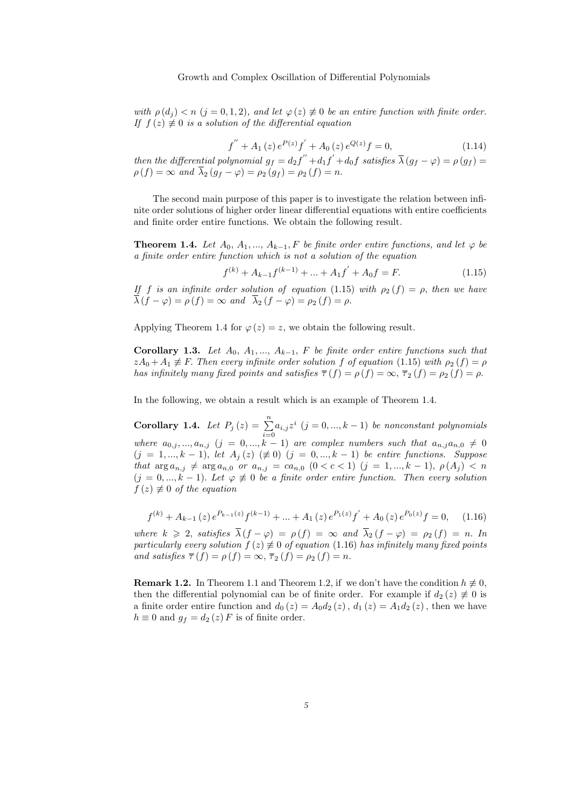with  $\rho(d_i) < n$   $(j = 0, 1, 2)$ , and let  $\varphi(z) \neq 0$  be an entire function with finite order. If  $f(z) \neq 0$  is a solution of the differential equation

$$
f'' + A_1(z) e^{P(z)} f' + A_0(z) e^{Q(z)} f = 0,
$$
\n(1.14)

then the differential polynomial  $g_f = d_2 f'' + d_1 f' + d_0 f$  satisfies  $\overline{\lambda}(g_f - \varphi) = \rho(g_f) =$  $\rho(f) = \infty$  and  $\overline{\lambda}_2(g_f - \varphi) = \rho_2(g_f) = \rho_2(f) = n$ .

The second main purpose of this paper is to investigate the relation between infinite order solutions of higher order linear differential equations with entire coefficients and finite order entire functions. We obtain the following result.

**Theorem 1.4.** Let  $A_0, A_1, ..., A_{k-1}, F$  be finite order entire functions, and let  $\varphi$  be a finite order entire function which is not a solution of the equation

$$
f^{(k)} + A_{k-1}f^{(k-1)} + \dots + A_1f^{'} + A_0f = F.
$$
 (1.15)

If f is an infinite order solution of equation (1.15) with  $\rho_2(f) = \rho$ , then we have  $\lambda(f - \varphi) = \rho(f) = \infty$  and  $\lambda_2(f - \varphi) = \rho_2(f) = \rho$ .

Applying Theorem 1.4 for  $\varphi(z) = z$ , we obtain the following result.

Corollary 1.3. Let  $A_0, A_1, ..., A_{k-1}, F$  be finite order entire functions such that  $zA_0 + A_1 \neq F$ . Then every infinite order solution f of equation (1.15) with  $\rho_2(f) = \rho$ has infinitely many fixed points and satisfies  $\overline{\tau}(f) = \rho(f) = \infty$ ,  $\overline{\tau}_2(f) = \rho_2(f) = \rho$ .

In the following, we obtain a result which is an example of Theorem 1.4.

**Corollary 1.4.** Let  $P_j(z) = \sum_{i=0}^{n} a_{i,j} z^i$   $(j = 0, ..., k-1)$  be nonconstant polynomials where  $a_{0,j},...,a_{n,j}$   $(j = 0,...,k - 1)$  are complex numbers such that  $a_{n,j}a_{n,0} \neq 0$  $(j = 1, ..., k - 1)$ , let  $A_j(z) \neq 0$   $(j = 0, ..., k - 1)$  be entire functions. Suppose that  $\arg a_{n,j} \neq \arg a_{n,0}$  or  $a_{n,j} = ca_{n,0}$   $(0 < c < 1)$   $(j = 1,...,k - 1)$ ,  $\rho(A_j) < n$  $(j = 0, ..., k - 1)$ . Let  $\varphi \neq 0$  be a finite order entire function. Then every solution  $f(z) \not\equiv 0$  of the equation

$$
f^{(k)} + A_{k-1}(z)e^{P_{k-1}(z)}f^{(k-1)} + \dots + A_1(z)e^{P_1(z)}f^{'} + A_0(z)e^{P_0(z)}f = 0, \quad (1.16)
$$

where  $k \geq 2$ , satisfies  $\overline{\lambda}(f - \varphi) = \rho(f) = \infty$  and  $\overline{\lambda}_2(f - \varphi) = \rho_2(f) = n$ . In particularly every solution  $f(z) \neq 0$  of equation (1.16) has infinitely many fixed points and satisfies  $\overline{\tau}(f) = \rho(f) = \infty$ ,  $\overline{\tau}_2(f) = \rho_2(f) = n$ .

**Remark 1.2.** In Theorem 1.1 and Theorem 1.2, if we don't have the condition  $h \not\equiv 0$ , then the differential polynomial can be of finite order. For example if  $d_2(z) \neq 0$  is a finite order entire function and  $d_0(z) = A_0 d_2(z)$ ,  $d_1(z) = A_1 d_2(z)$ , then we have  $h \equiv 0$  and  $g_f = d_2(z) F$  is of finite order.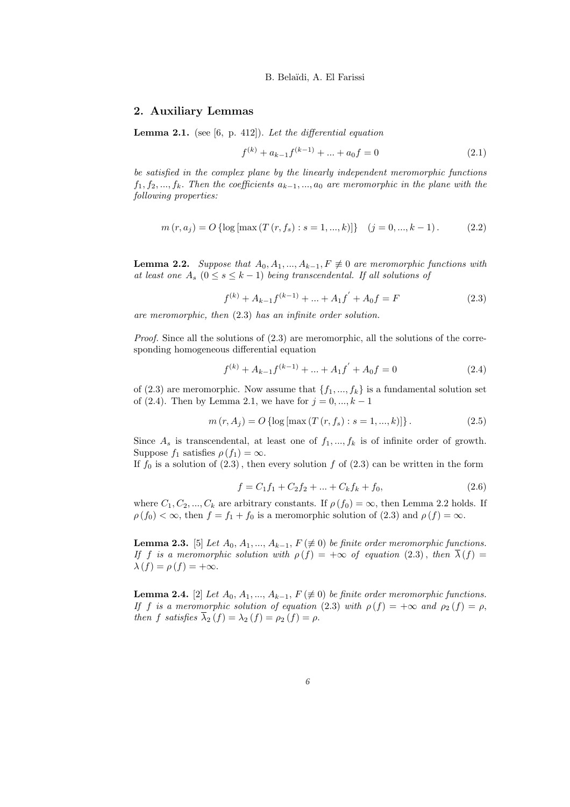### 2. Auxiliary Lemmas

**Lemma 2.1.** (see [6, p. 412]). Let the differential equation

$$
f^{(k)} + a_{k-1}f^{(k-1)} + \dots + a_0f = 0
$$
\n(2.1)

be satisfied in the complex plane by the linearly independent meromorphic functions  $f_1, f_2, ..., f_k$ . Then the coefficients  $a_{k-1}, ..., a_0$  are meromorphic in the plane with the following properties:

$$
m(r, a_j) = O\left\{ \log \left[ \max(T(r, f_s) : s = 1, ..., k) \right] \right\} \quad (j = 0, ..., k - 1). \tag{2.2}
$$

**Lemma 2.2.** Suppose that  $A_0, A_1, ..., A_{k-1}, F \neq 0$  are meromorphic functions with at least one  $A_s$   $(0 \le s \le k-1)$  being transcendental. If all solutions of

$$
f^{(k)} + A_{k-1}f^{(k-1)} + \dots + A_1f^{'} + A_0f = F
$$
\n(2.3)

are meromorphic, then (2.3) has an infinite order solution.

Proof. Since all the solutions of  $(2.3)$  are meromorphic, all the solutions of the corresponding homogeneous differential equation

$$
f^{(k)} + A_{k-1}f^{(k-1)} + \dots + A_1f^{'} + A_0f = 0
$$
\n(2.4)

of (2.3) are meromorphic. Now assume that  $\{f_1, ..., f_k\}$  is a fundamental solution set of (2.4). Then by Lemma 2.1, we have for  $j = 0, ..., k - 1$ 

$$
m(r, Aj) = O\left\{ \log \left[ \max(T(r, f_s) : s = 1, ..., k) \right] \right\}.
$$
 (2.5)

Since  $A_s$  is transcendental, at least one of  $f_1, ..., f_k$  is of infinite order of growth. Suppose  $f_1$  satisfies  $\rho(f_1) = \infty$ .

If  $f_0$  is a solution of  $(2.3)$ , then every solution f of  $(2.3)$  can be written in the form

$$
f = C_1 f_1 + C_2 f_2 + \dots + C_k f_k + f_0,\tag{2.6}
$$

where  $C_1, C_2, ..., C_k$  are arbitrary constants. If  $\rho(f_0) = \infty$ , then Lemma 2.2 holds. If  $\rho(f_0) < \infty$ , then  $f = f_1 + f_0$  is a meromorphic solution of (2.3) and  $\rho(f) = \infty$ .

**Lemma 2.3.** [5] Let  $A_0, A_1, ..., A_{k-1}, F \neq 0$  be finite order meromorphic functions. If f is a meromorphic solution with  $\rho(f) = +\infty$  of equation (2.3), then  $\overline{\lambda}(f) =$  $\lambda(f) = \rho(f) = +\infty.$ 

**Lemma 2.4.** [2] Let  $A_0, A_1, ..., A_{k-1}, F \neq 0$  be finite order meromorphic functions. If f is a meromorphic solution of equation (2.3) with  $\rho(f) = +\infty$  and  $\rho_2(f) = \rho$ , then f satisfies  $\overline{\lambda}_2(f) = \lambda_2(f) = \rho_2(f) = \rho$ .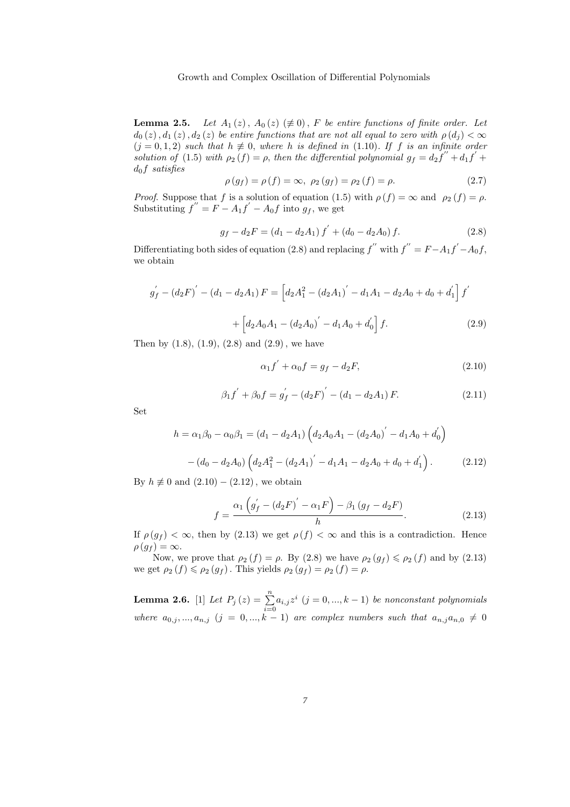#### Growth and Complex Oscillation of Differential Polynomials

**Lemma 2.5.** Let  $A_1(z)$ ,  $A_0(z) \neq 0$ , F be entire functions of finite order. Let  $d_0(z)$ ,  $d_1(z)$ ,  $d_2(z)$  be entire functions that are not all equal to zero with  $\rho(d_i) < \infty$  $(j = 0, 1, 2)$  such that  $h \neq 0$ , where h is defined in (1.10). If f is an infinite order solution of (1.5) with  $\rho_2(f) = \rho$ , then the differential polynomial  $g_f = d_2 f'' + d_1 f' +$  $d_0f$  satisfies

$$
\rho(g_f) = \rho(f) = \infty, \ \rho_2(g_f) = \rho_2(f) = \rho. \tag{2.7}
$$

*Proof.* Suppose that f is a solution of equation (1.5) with  $\rho(f) = \infty$  and  $\rho_2(f) = \rho$ . Substituting  $f'' = F - A_1 f' - A_0 f$  into  $g_f$ , we get

$$
g_f - d_2 F = (d_1 - d_2 A_1) f' + (d_0 - d_2 A_0) f.
$$
 (2.8)

Differentiating both sides of equation (2.8) and replacing  $f''$  with  $f'' = F - A_1 f' - A_0 f$ , we obtain

$$
g'_{f} - (d_2 F)' - (d_1 - d_2 A_1) F = \left[ d_2 A_1^2 - (d_2 A_1)' - d_1 A_1 - d_2 A_0 + d_0 + d'_1 \right] f'
$$

$$
+ \left[ d_2 A_0 A_1 - (d_2 A_0)' - d_1 A_0 + d'_0 \right] f.
$$
(2.9)

Then by  $(1.8)$ ,  $(1.9)$ ,  $(2.8)$  and  $(2.9)$ , we have

$$
\alpha_1 f' + \alpha_0 f = g_f - d_2 F,\tag{2.10}
$$

$$
\beta_1 f' + \beta_0 f = g'_f - (d_2 F)' - (d_1 - d_2 A_1) F.
$$
 (2.11)

Set

$$
h = \alpha_1 \beta_0 - \alpha_0 \beta_1 = (d_1 - d_2 A_1) \left( d_2 A_0 A_1 - (d_2 A_0)' - d_1 A_0 + d'_0 \right)
$$

$$
- (d_0 - d_2 A_0) \left( d_2 A_1^2 - (d_2 A_1)' - d_1 A_1 - d_2 A_0 + d_0 + d'_1 \right). \tag{2.12}
$$

By  $h \not\equiv 0$  and  $(2.10) - (2.12)$ , we obtain

$$
f = \frac{\alpha_1 \left( g'_f - (d_2 F)' - \alpha_1 F \right) - \beta_1 \left( g_f - d_2 F \right)}{h}.
$$
 (2.13)

If  $\rho(g_f) < \infty$ , then by (2.13) we get  $\rho(f) < \infty$  and this is a contradiction. Hence  $\rho(g_f) = \infty.$ 

Now, we prove that  $\rho_2(f) = \rho$ . By (2.8) we have  $\rho_2(g_f) \leq \rho_2(f)$  and by (2.13) we get  $\rho_2(f) \leq \rho_2(g_f)$ . This yields  $\rho_2(g_f) = \rho_2(f) = \rho$ .

**Lemma 2.6.** [1] Let  $P_j(z) = \sum_{i=0}^{n} a_{i,j} z^i$   $(j = 0, ..., k - 1)$  be nonconstant polynomials where  $a_{0,j},...,a_{n,j}$   $(j = 0,...,k - 1)$  are complex numbers such that  $a_{n,j}a_{n,0} \neq 0$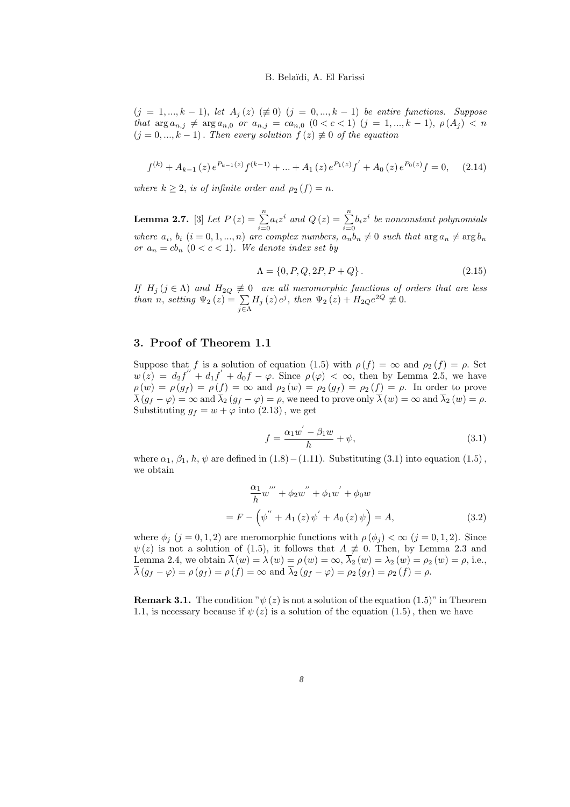$(j = 1, ..., k - 1)$ , let  $A_j(z) \neq 0$   $(j = 0, ..., k - 1)$  be entire functions. Suppose that  $\arg a_{n,j} \neq \arg a_{n,0}$  or  $a_{n,j} = ca_{n,0}$   $(0 < c < 1)$   $(j = 1,...,k - 1)$ ,  $\rho(A_j) < n$  $(j = 0, ..., k - 1)$ . Then every solution  $f(z) \neq 0$  of the equation

$$
f^{(k)} + A_{k-1}(z) e^{P_{k-1}(z)} f^{(k-1)} + \dots + A_1(z) e^{P_1(z)} f^{'} + A_0(z) e^{P_0(z)} f = 0, \quad (2.14)
$$

where  $k \geq 2$ , is of infinite order and  $\rho_2(f) = n$ .

**Lemma 2.7.** [3] Let  $P(z) = \sum_{n=1}^{\infty}$  $\sum_{i=0}^{n} a_i z^i$  and  $Q(z) = \sum_{i=0}^{n}$  $\sum_{i=0} b_i z^i$  be nonconstant polynomials where  $a_i, b_i$   $(i = 0, 1, ..., n)$  are complex numbers,  $a_n b_n \neq 0$  such that  $\arg a_n \neq \arg b_n$ or  $a_n = cb_n$   $(0 < c < 1)$ . We denote index set by

$$
\Lambda = \{0, P, Q, 2P, P + Q\}.
$$
\n(2.15)

If  $H_j$  ( $j \in \Lambda$ ) and  $H_{2Q} \neq 0$  are all meromorphic functions of orders that are less than n, setting  $\Psi_2(z) = \sum_{j \in \Lambda} H_j(z) e^j$ , then  $\Psi_2(z) + H_{2Q}e^{2Q} \not\equiv 0$ .

### 3. Proof of Theorem 1.1

Suppose that f is a solution of equation (1.5) with  $\rho(f) = \infty$  and  $\rho_2(f) = \rho$ . Set  $w(z) = d_2 f'' + d_1 f' + d_0 f - \varphi$ . Since  $\rho(\varphi) < \infty$ , then by Lemma 2.5, we have  $\rho(w) = \rho(g_f) = \rho(f) = \infty$  and  $\rho_2(w) = \rho_2(g_f) = \rho_2(f) = \rho$ . In order to prove  $\overline{\lambda}(g_f - \varphi) = \infty$  and  $\overline{\lambda}_2(g_f - \varphi) = \rho$ , we need to prove only  $\overline{\lambda}(w) = \infty$  and  $\overline{\lambda}_2(w) = \rho$ . Substituting  $g_f = w + \varphi$  into (2.13), we get

$$
f = \frac{\alpha_1 w' - \beta_1 w}{h} + \psi,\tag{3.1}
$$

where  $\alpha_1$ ,  $\beta_1$ ,  $h$ ,  $\psi$  are defined in (1.8) −(1.11). Substituting (3.1) into equation (1.5), we obtain

$$
\frac{\alpha_1}{h} w''' + \phi_2 w'' + \phi_1 w' + \phi_0 w
$$
  
=  $F - (\psi'' + A_1(z) \psi' + A_0(z) \psi) = A,$  (3.2)

where  $\phi_i$  (j = 0, 1, 2) are meromorphic functions with  $\rho(\phi_i) < \infty$  (j = 0, 1, 2). Since  $\psi(z)$  is not a solution of (1.5), it follows that  $A \neq 0$ . Then, by Lemma 2.3 and Lemma 2.4, we obtain  $\overline{\lambda}(w) = \lambda(w) = \rho(w) = \infty$ ,  $\overline{\lambda}_2(w) = \lambda_2(w) = \rho_2(w) = \rho$ , i.e.,  $\overline{\lambda}(g_f - \varphi) = \rho(g_f) = \rho(f) = \infty$  and  $\overline{\lambda}_2(g_f - \varphi) = \rho_2(g_f) = \rho_2(f) = \rho$ .

**Remark 3.1.** The condition " $\psi(z)$  is not a solution of the equation (1.5)" in Theorem 1.1, is necessary because if  $\psi(z)$  is a solution of the equation (1.5), then we have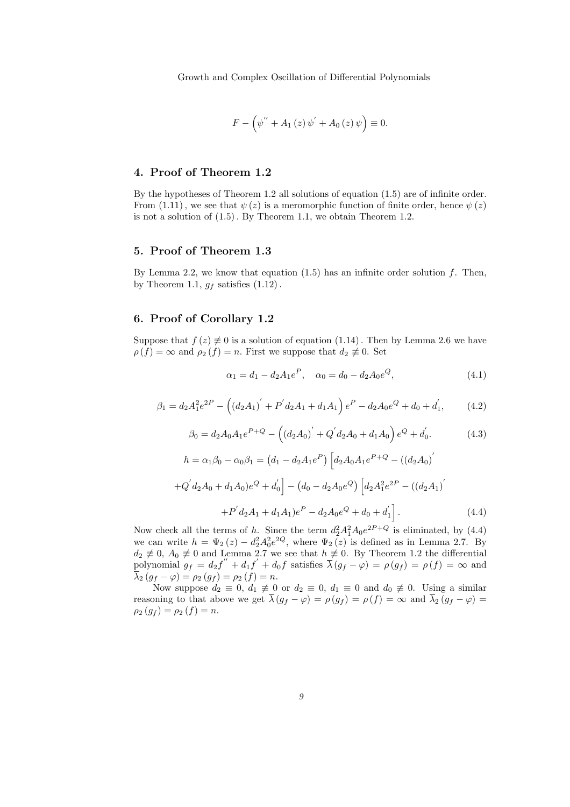$$
F - (\psi'' + A_1(z)\psi' + A_0(z)\psi) \equiv 0.
$$

### 4. Proof of Theorem 1.2

By the hypotheses of Theorem 1.2 all solutions of equation (1.5) are of infinite order. From (1.11), we see that  $\psi(z)$  is a meromorphic function of finite order, hence  $\psi(z)$ is not a solution of (1.5). By Theorem 1.1, we obtain Theorem 1.2.

### 5. Proof of Theorem 1.3

By Lemma 2.2, we know that equation  $(1.5)$  has an infinite order solution f. Then, by Theorem 1.1,  $g_f$  satisfies  $(1.12)$ .

### 6. Proof of Corollary 1.2

Suppose that  $f(z) \neq 0$  is a solution of equation (1.14). Then by Lemma 2.6 we have  $\rho(f) = \infty$  and  $\rho_2(f) = n$ . First we suppose that  $d_2 \not\equiv 0$ . Set

$$
\alpha_1 = d_1 - d_2 A_1 e^P, \quad \alpha_0 = d_0 - d_2 A_0 e^Q,\tag{4.1}
$$

$$
\beta_1 = d_2 A_1^2 e^{2P} - \left( \left( d_2 A_1 \right)' + P' d_2 A_1 + d_1 A_1 \right) e^P - d_2 A_0 e^Q + d_0 + d_1',\tag{4.2}
$$

$$
\beta_0 = d_2 A_0 A_1 e^{P+Q} - ((d_2 A_0)' + Q' d_2 A_0 + d_1 A_0) e^Q + d_0'. \tag{4.3}
$$

$$
h = \alpha_1 \beta_0 - \alpha_0 \beta_1 = (d_1 - d_2 A_1 e^P) \left[ d_2 A_0 A_1 e^{P+Q} - ((d_2 A_0)'\n+ Q' d_2 A_0 + d_1 A_0) e^Q + d'_0 \right] - (d_0 - d_2 A_0 e^Q) \left[ d_2 A_1^2 e^{2P} - ((d_2 A_1)'\n+ P' d_2 A_1 + d_1 A_1) e^P - d_2 A_0 e^Q + d_0 + d'_1 \right].
$$
\n(4.4)

Now check all the terms of h. Since the term  $d_2^2 A_1^2 A_0 e^{2P+Q}$  is eliminated, by (4.4) we can write  $h = \Psi_2(z) - d_2^2 A_0^2 e^{2Q}$ , where  $\Psi_2(z)$  is defined as in Lemma 2.7. By  $d_2 \not\equiv 0$ ,  $A_0 \not\equiv 0$  and Lemma 2.7 we see that  $h \not\equiv 0$ . By Theorem 1.2 the differential polynomial  $g_f = d_2 f'' + d_1 f' + d_0 f$  satisfies  $\overline{\lambda}(g_f - \varphi) = \rho(g_f) = \rho(f) = \infty$  and  $\overline{\lambda}_{2} (g_f - \varphi) = \rho_2 (g_f) = \rho_2 (f) = n.$ 

Now suppose  $d_2 \equiv 0, d_1 \not\equiv 0$  or  $d_2 \equiv 0, d_1 \equiv 0$  and  $d_0 \not\equiv 0$ . Using a similar reasoning to that above we get  $\lambda (g_f - \varphi) = \rho (g_f) = \rho (f) = \infty$  and  $\lambda_2 (g_f - \varphi) =$  $\rho_2(g_f) = \rho_2(f) = n.$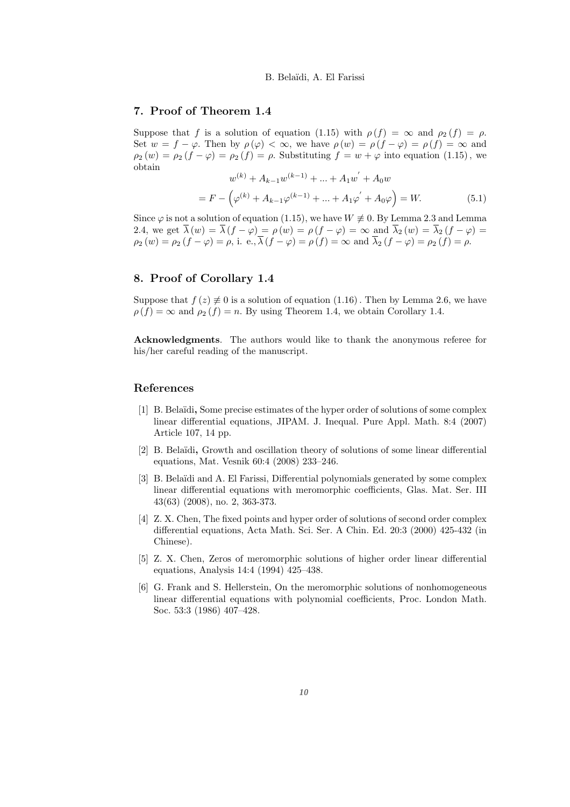### 7. Proof of Theorem 1.4

Suppose that f is a solution of equation (1.15) with  $\rho(f) = \infty$  and  $\rho_2(f) = \rho$ . Set  $w = f - \varphi$ . Then by  $\rho(\varphi) < \infty$ , we have  $\rho(w) = \rho(f - \varphi) = \rho(f) = \infty$  and  $\rho_2(w) = \rho_2(f - \varphi) = \rho_2(f) = \rho$ . Substituting  $f = w + \varphi$  into equation (1.15), we obtain ′

$$
w^{(k)} + A_{k-1}w^{(k-1)} + \dots + A_1w^{'} + A_0w
$$

$$
= F - \left(\varphi^{(k)} + A_{k-1}\varphi^{(k-1)} + \dots + A_1\varphi^{'} + A_0\varphi\right) = W.
$$
(5.1)

Since  $\varphi$  is not a solution of equation (1.15), we have  $W \neq 0$ . By Lemma 2.3 and Lemma 2.4, we get  $\lambda(w) = \lambda(f - \varphi) = \rho(w) = \rho(f - \varphi) = \infty$  and  $\lambda_2(w) = \lambda_2(f - \varphi) =$  $\rho_2(w) = \rho_2(f - \varphi) = \rho$ , i. e.,  $\lambda(f - \varphi) = \rho(f) = \infty$  and  $\lambda_2(f - \varphi) = \rho_2(f) = \rho$ .

### 8. Proof of Corollary 1.4

Suppose that  $f(z) \neq 0$  is a solution of equation (1.16). Then by Lemma 2.6, we have  $\rho(f) = \infty$  and  $\rho_2(f) = n$ . By using Theorem 1.4, we obtain Corollary 1.4.

Acknowledgments. The authors would like to thank the anonymous referee for his/her careful reading of the manuscript.

#### References

- [1] B. Belaïdi, Some precise estimates of the hyper order of solutions of some complex linear differential equations, JIPAM. J. Inequal. Pure Appl. Math. 8:4 (2007) Article 107, 14 pp.
- [2] B. Bela¨ıdi, Growth and oscillation theory of solutions of some linear differential equations, Mat. Vesnik 60:4 (2008) 233–246.
- [3] B. Belaïdi and A. El Farissi, Differential polynomials generated by some complex linear differential equations with meromorphic coefficients, Glas. Mat. Ser. III 43(63) (2008), no. 2, 363-373.
- [4] Z. X. Chen, The fixed points and hyper order of solutions of second order complex differential equations, Acta Math. Sci. Ser. A Chin. Ed. 20:3 (2000) 425-432 (in Chinese).
- [5] Z. X. Chen, Zeros of meromorphic solutions of higher order linear differential equations, Analysis 14:4 (1994) 425–438.
- [6] G. Frank and S. Hellerstein, On the meromorphic solutions of nonhomogeneous linear differential equations with polynomial coefficients, Proc. London Math. Soc. 53:3 (1986) 407–428.